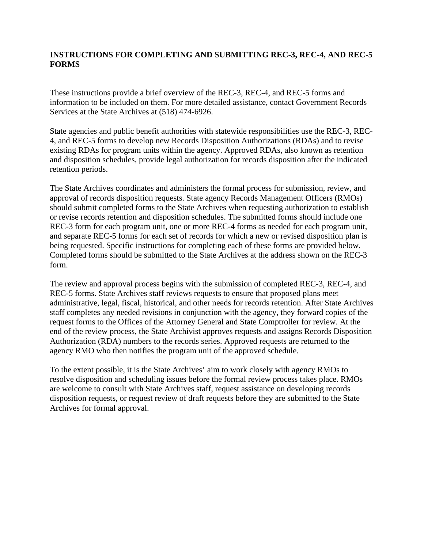## **INSTRUCTIONS FOR COMPLETING AND SUBMITTING REC-3, REC-4, AND REC-5 FORMS**

These instructions provide a brief overview of the REC-3, REC-4, and REC-5 forms and information to be included on them. For more detailed assistance, contact Government Records Services at the State Archives at (518) 474-6926.

State agencies and public benefit authorities with statewide responsibilities use the REC-3, REC-4, and REC-5 forms to develop new Records Disposition Authorizations (RDAs) and to revise existing RDAs for program units within the agency. Approved RDAs, also known as retention and disposition schedules, provide legal authorization for records disposition after the indicated retention periods.

The State Archives coordinates and administers the formal process for submission, review, and approval of records disposition requests. State agency Records Management Officers (RMOs) should submit completed forms to the State Archives when requesting authorization to establish or revise records retention and disposition schedules. The submitted forms should include one REC-3 form for each program unit, one or more REC-4 forms as needed for each program unit, and separate REC-5 forms for each set of records for which a new or revised disposition plan is being requested. Specific instructions for completing each of these forms are provided below. Completed forms should be submitted to the State Archives at the address shown on the REC-3 form.

The review and approval process begins with the submission of completed REC-3, REC-4, and REC-5 forms. State Archives staff reviews requests to ensure that proposed plans meet administrative, legal, fiscal, historical, and other needs for records retention. After State Archives staff completes any needed revisions in conjunction with the agency, they forward copies of the request forms to the Offices of the Attorney General and State Comptroller for review. At the end of the review process, the State Archivist approves requests and assigns Records Disposition Authorization (RDA) numbers to the records series. Approved requests are returned to the agency RMO who then notifies the program unit of the approved schedule.

To the extent possible, it is the State Archives' aim to work closely with agency RMOs to resolve disposition and scheduling issues before the formal review process takes place. RMOs are welcome to consult with State Archives staff, request assistance on developing records disposition requests, or request review of draft requests before they are submitted to the State Archives for formal approval.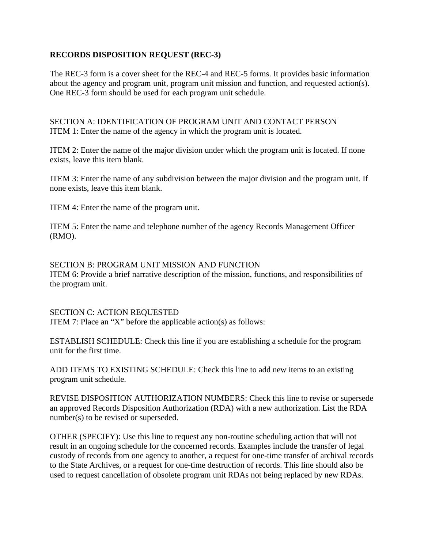## **RECORDS DISPOSITION REQUEST (REC-3)**

The REC-3 form is a cover sheet for the REC-4 and REC-5 forms. It provides basic information about the agency and program unit, program unit mission and function, and requested action(s). One REC-3 form should be used for each program unit schedule.

SECTION A: IDENTIFICATION OF PROGRAM UNIT AND CONTACT PERSON ITEM 1: Enter the name of the agency in which the program unit is located.

ITEM 2: Enter the name of the major division under which the program unit is located. If none exists, leave this item blank.

ITEM 3: Enter the name of any subdivision between the major division and the program unit. If none exists, leave this item blank.

ITEM 4: Enter the name of the program unit.

ITEM 5: Enter the name and telephone number of the agency Records Management Officer (RMO).

SECTION B: PROGRAM UNIT MISSION AND FUNCTION ITEM 6: Provide a brief narrative description of the mission, functions, and responsibilities of the program unit.

SECTION C: ACTION REQUESTED ITEM 7: Place an "X" before the applicable action(s) as follows:

ESTABLISH SCHEDULE: Check this line if you are establishing a schedule for the program unit for the first time.

ADD ITEMS TO EXISTING SCHEDULE: Check this line to add new items to an existing program unit schedule.

REVISE DISPOSITION AUTHORIZATION NUMBERS: Check this line to revise or supersede an approved Records Disposition Authorization (RDA) with a new authorization. List the RDA number(s) to be revised or superseded.

OTHER (SPECIFY): Use this line to request any non-routine scheduling action that will not result in an ongoing schedule for the concerned records. Examples include the transfer of legal custody of records from one agency to another, a request for one-time transfer of archival records to the State Archives, or a request for one-time destruction of records. This line should also be used to request cancellation of obsolete program unit RDAs not being replaced by new RDAs.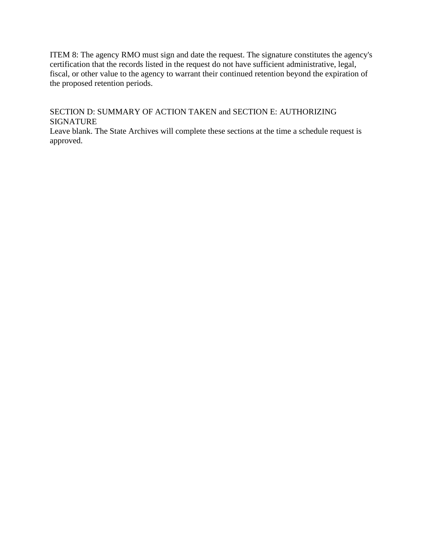ITEM 8: The agency RMO must sign and date the request. The signature constitutes the agency's certification that the records listed in the request do not have sufficient administrative, legal, fiscal, or other value to the agency to warrant their continued retention beyond the expiration of the proposed retention periods.

SECTION D: SUMMARY OF ACTION TAKEN and SECTION E: AUTHORIZING SIGNATURE

Leave blank. The State Archives will complete these sections at the time a schedule request is approved.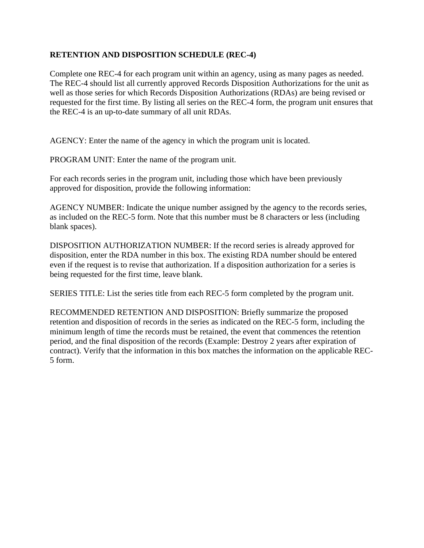## **RETENTION AND DISPOSITION SCHEDULE (REC-4)**

Complete one REC-4 for each program unit within an agency, using as many pages as needed. The REC-4 should list all currently approved Records Disposition Authorizations for the unit as well as those series for which Records Disposition Authorizations (RDAs) are being revised or requested for the first time. By listing all series on the REC-4 form, the program unit ensures that the REC-4 is an up-to-date summary of all unit RDAs.

AGENCY: Enter the name of the agency in which the program unit is located.

PROGRAM UNIT: Enter the name of the program unit.

For each records series in the program unit, including those which have been previously approved for disposition, provide the following information:

AGENCY NUMBER: Indicate the unique number assigned by the agency to the records series, as included on the REC-5 form. Note that this number must be 8 characters or less (including blank spaces).

DISPOSITION AUTHORIZATION NUMBER: If the record series is already approved for disposition, enter the RDA number in this box. The existing RDA number should be entered even if the request is to revise that authorization. If a disposition authorization for a series is being requested for the first time, leave blank.

SERIES TITLE: List the series title from each REC-5 form completed by the program unit.

RECOMMENDED RETENTION AND DISPOSITION: Briefly summarize the proposed retention and disposition of records in the series as indicated on the REC-5 form, including the minimum length of time the records must be retained, the event that commences the retention period, and the final disposition of the records (Example: Destroy 2 years after expiration of contract). Verify that the information in this box matches the information on the applicable REC-5 form.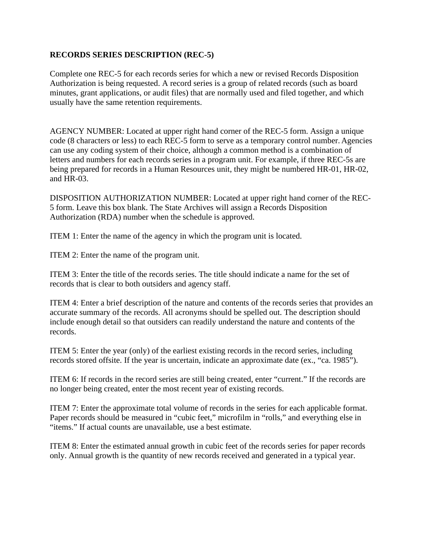## **RECORDS SERIES DESCRIPTION (REC-5)**

Complete one REC-5 for each records series for which a new or revised Records Disposition Authorization is being requested. A record series is a group of related records (such as board minutes, grant applications, or audit files) that are normally used and filed together, and which usually have the same retention requirements.

AGENCY NUMBER: Located at upper right hand corner of the REC-5 form. Assign a unique code (8 characters or less) to each REC-5 form to serve as a temporary control number. Agencies can use any coding system of their choice, although a common method is a combination of letters and numbers for each records series in a program unit. For example, if three REC-5s are being prepared for records in a Human Resources unit, they might be numbered HR-01, HR-02, and HR-03.

DISPOSITION AUTHORIZATION NUMBER: Located at upper right hand corner of the REC-5 form. Leave this box blank. The State Archives will assign a Records Disposition Authorization (RDA) number when the schedule is approved.

ITEM 1: Enter the name of the agency in which the program unit is located.

ITEM 2: Enter the name of the program unit.

ITEM 3: Enter the title of the records series. The title should indicate a name for the set of records that is clear to both outsiders and agency staff.

ITEM 4: Enter a brief description of the nature and contents of the records series that provides an accurate summary of the records. All acronyms should be spelled out. The description should include enough detail so that outsiders can readily understand the nature and contents of the records.

ITEM 5: Enter the year (only) of the earliest existing records in the record series, including records stored offsite. If the year is uncertain, indicate an approximate date (ex., "ca. 1985").

ITEM 6: If records in the record series are still being created, enter "current." If the records are no longer being created, enter the most recent year of existing records.

ITEM 7: Enter the approximate total volume of records in the series for each applicable format. Paper records should be measured in "cubic feet," microfilm in "rolls," and everything else in "items." If actual counts are unavailable, use a best estimate.

ITEM 8: Enter the estimated annual growth in cubic feet of the records series for paper records only. Annual growth is the quantity of new records received and generated in a typical year.